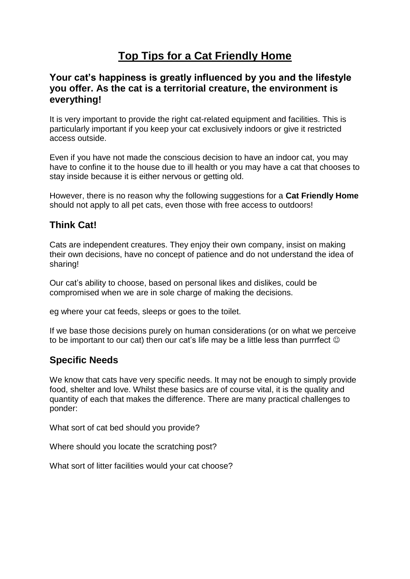# **Top Tips for a Cat Friendly Home**

#### **Your cat's happiness is greatly influenced by you and the lifestyle you offer. As the cat is a territorial creature, the environment is everything!**

It is very important to provide the right cat-related equipment and facilities. This is particularly important if you keep your cat exclusively indoors or give it restricted access outside.

Even if you have not made the conscious decision to have an indoor cat, you may have to confine it to the house due to ill health or you may have a cat that chooses to stay inside because it is either nervous or getting old.

However, there is no reason why the following suggestions for a **Cat Friendly Home** should not apply to all pet cats, even those with free access to outdoors!

#### **Think Cat!**

Cats are independent creatures. They enjoy their own company, insist on making their own decisions, have no concept of patience and do not understand the idea of sharing!

Our cat's ability to choose, based on personal likes and dislikes, could be compromised when we are in sole charge of making the decisions.

eg where your cat feeds, sleeps or goes to the toilet.

If we base those decisions purely on human considerations (or on what we perceive to be important to our cat) then our cat's life may be a little less than purrrfect  $\odot$ 

#### **Specific Needs**

We know that cats have very specific needs. It may not be enough to simply provide food, shelter and love. Whilst these basics are of course vital, it is the quality and quantity of each that makes the difference. There are many practical challenges to ponder:

What sort of cat bed should you provide?

Where should you locate the scratching post?

What sort of litter facilities would your cat choose?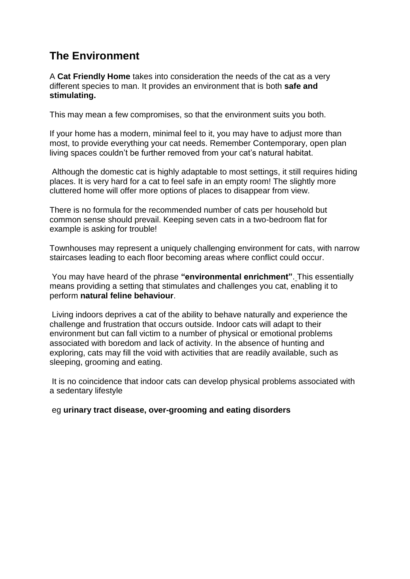## **The Environment**

A **Cat Friendly Home** takes into consideration the needs of the cat as a very different species to man. It provides an environment that is both **safe and stimulating.**

This may mean a few compromises, so that the environment suits you both.

If your home has a modern, minimal feel to it, you may have to adjust more than most, to provide everything your cat needs. Remember Contemporary, open plan living spaces couldn't be further removed from your cat's natural habitat.

Although the domestic cat is highly adaptable to most settings, it still requires hiding places. It is very hard for a cat to feel safe in an empty room! The slightly more cluttered home will offer more options of places to disappear from view.

There is no formula for the recommended number of cats per household but common sense should prevail. Keeping seven cats in a two-bedroom flat for example is asking for trouble!

Townhouses may represent a uniquely challenging environment for cats, with narrow staircases leading to each floor becoming areas where conflict could occur.

You may have heard of the phrase **"environmental enrichment"**. This essentially means providing a setting that stimulates and challenges you cat, enabling it to perform **natural feline behaviour**.

Living indoors deprives a cat of the ability to behave naturally and experience the challenge and frustration that occurs outside. Indoor cats will adapt to their environment but can fall victim to a number of physical or emotional problems associated with boredom and lack of activity. In the absence of hunting and exploring, cats may fill the void with activities that are readily available, such as sleeping, grooming and eating.

It is no coincidence that indoor cats can develop physical problems associated with a sedentary lifestyle

eg **urinary tract disease, over-grooming and eating disorders**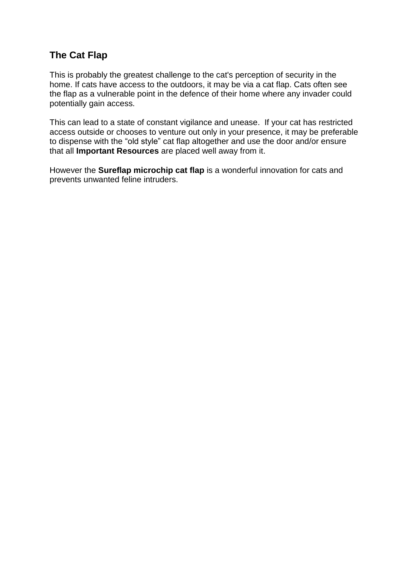### **The Cat Flap**

This is probably the greatest challenge to the cat's perception of security in the home. If cats have access to the outdoors, it may be via a cat flap. Cats often see the flap as a vulnerable point in the defence of their home where any invader could potentially gain access.

This can lead to a state of constant vigilance and unease. If your cat has restricted access outside or chooses to venture out only in your presence, it may be preferable to dispense with the "old style" cat flap altogether and use the door and/or ensure that all **Important Resources** are placed well away from it.

However the **Sureflap microchip cat flap** is a wonderful innovation for cats and prevents unwanted feline intruders.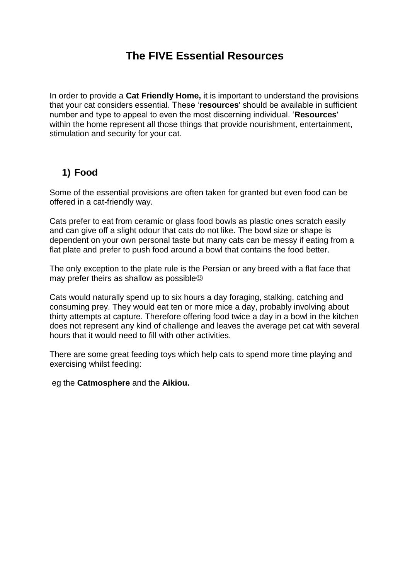## **The FIVE Essential Resources**

In order to provide a **Cat Friendly Home,** it is important to understand the provisions that your cat considers essential. These '**resources**' should be available in sufficient number and type to appeal to even the most discerning individual. '**Resources**' within the home represent all those things that provide nourishment, entertainment, stimulation and security for your cat.

### **1) Food**

Some of the essential provisions are often taken for granted but even food can be offered in a cat-friendly way.

Cats prefer to eat from ceramic or glass food bowls as plastic ones scratch easily and can give off a slight odour that cats do not like. The bowl size or shape is dependent on your own personal taste but many cats can be messy if eating from a flat plate and prefer to push food around a bowl that contains the food better.

The only exception to the plate rule is the Persian or any breed with a flat face that may prefer theirs as shallow as possible

Cats would naturally spend up to six hours a day foraging, stalking, catching and consuming prey. They would eat ten or more mice a day, probably involving about thirty attempts at capture. Therefore offering food twice a day in a bowl in the kitchen does not represent any kind of challenge and leaves the average pet cat with several hours that it would need to fill with other activities.

There are some great feeding toys which help cats to spend more time playing and exercising whilst feeding:

eg the **Catmosphere** and the **Aikiou.**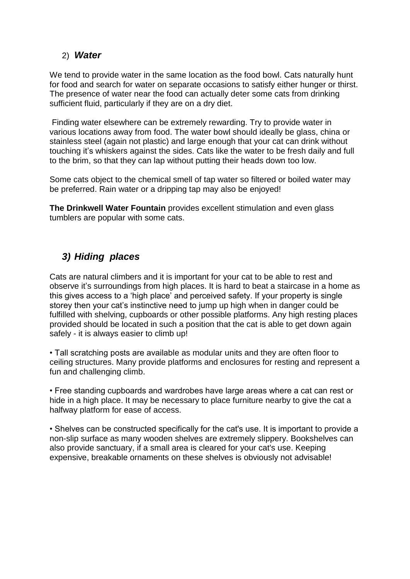#### 2) *Water*

We tend to provide water in the same location as the food bowl. Cats naturally hunt for food and search for water on separate occasions to satisfy either hunger or thirst. The presence of water near the food can actually deter some cats from drinking sufficient fluid, particularly if they are on a dry diet.

Finding water elsewhere can be extremely rewarding. Try to provide water in various locations away from food. The water bowl should ideally be glass, china or stainless steel (again not plastic) and large enough that your cat can drink without touching it's whiskers against the sides. Cats like the water to be fresh daily and full to the brim, so that they can lap without putting their heads down too low.

Some cats object to the chemical smell of tap water so filtered or boiled water may be preferred. Rain water or a dripping tap may also be enjoyed!

**The Drinkwell Water Fountain** provides excellent stimulation and even glass tumblers are popular with some cats.

### *3) Hiding places*

Cats are natural climbers and it is important for your cat to be able to rest and observe it's surroundings from high places. It is hard to beat a staircase in a home as this gives access to a 'high place' and perceived safety. If your property is single storey then your cat's instinctive need to jump up high when in danger could be fulfilled with shelving, cupboards or other possible platforms. Any high resting places provided should be located in such a position that the cat is able to get down again safely - it is always easier to climb up!

• Tall scratching posts are available as modular units and they are often floor to ceiling structures. Many provide platforms and enclosures for resting and represent a fun and challenging climb.

• Free standing cupboards and wardrobes have large areas where a cat can rest or hide in a high place. It may be necessary to place furniture nearby to give the cat a halfway platform for ease of access.

• Shelves can be constructed specifically for the cat's use. It is important to provide a non-slip surface as many wooden shelves are extremely slippery. Bookshelves can also provide sanctuary, if a small area is cleared for your cat's use. Keeping expensive, breakable ornaments on these shelves is obviously not advisable!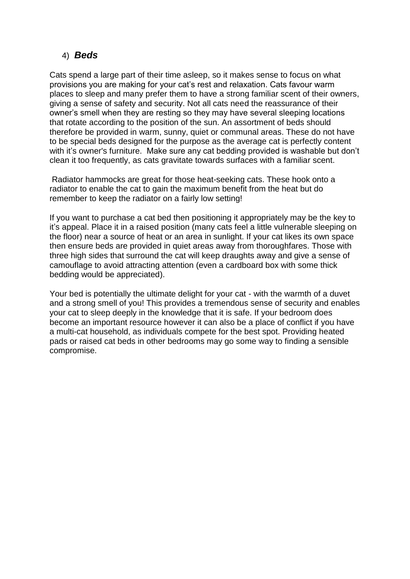#### 4) *Beds*

Cats spend a large part of their time asleep, so it makes sense to focus on what provisions you are making for your cat's rest and relaxation. Cats favour warm places to sleep and many prefer them to have a strong familiar scent of their owners, giving a sense of safety and security. Not all cats need the reassurance of their owner's smell when they are resting so they may have several sleeping locations that rotate according to the position of the sun. An assortment of beds should therefore be provided in warm, sunny, quiet or communal areas. These do not have to be special beds designed for the purpose as the average cat is perfectly content with it's owner's furniture. Make sure any cat bedding provided is washable but don't clean it too frequently, as cats gravitate towards surfaces with a familiar scent.

Radiator hammocks are great for those heat-seeking cats. These hook onto a radiator to enable the cat to gain the maximum benefit from the heat but do remember to keep the radiator on a fairly low setting!

If you want to purchase a cat bed then positioning it appropriately may be the key to it's appeal. Place it in a raised position (many cats feel a little vulnerable sleeping on the floor) near a source of heat or an area in sunlight. If your cat likes its own space then ensure beds are provided in quiet areas away from thoroughfares. Those with three high sides that surround the cat will keep draughts away and give a sense of camouflage to avoid attracting attention (even a cardboard box with some thick bedding would be appreciated).

Your bed is potentially the ultimate delight for your cat - with the warmth of a duvet and a strong smell of you! This provides a tremendous sense of security and enables your cat to sleep deeply in the knowledge that it is safe. If your bedroom does become an important resource however it can also be a place of conflict if you have a multi-cat household, as individuals compete for the best spot. Providing heated pads or raised cat beds in other bedrooms may go some way to finding a sensible compromise.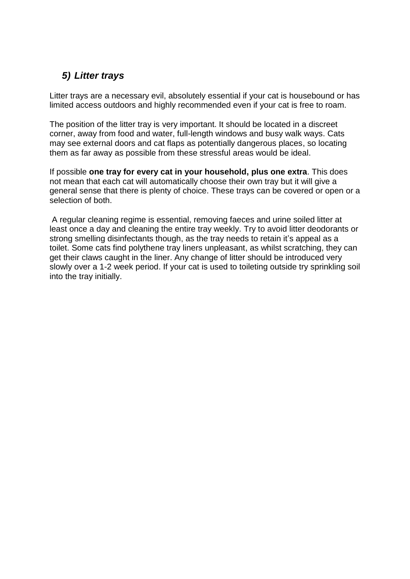### *5) Litter trays*

Litter trays are a necessary evil, absolutely essential if your cat is housebound or has limited access outdoors and highly recommended even if your cat is free to roam.

The position of the litter tray is very important. It should be located in a discreet corner, away from food and water, full-length windows and busy walk ways. Cats may see external doors and cat flaps as potentially dangerous places, so locating them as far away as possible from these stressful areas would be ideal.

If possible **one tray for every cat in your household, plus one extra**. This does not mean that each cat will automatically choose their own tray but it will give a general sense that there is plenty of choice. These trays can be covered or open or a selection of both.

A regular cleaning regime is essential, removing faeces and urine soiled litter at least once a day and cleaning the entire tray weekly. Try to avoid litter deodorants or strong smelling disinfectants though, as the tray needs to retain it's appeal as a toilet. Some cats find polythene tray liners unpleasant, as whilst scratching, they can get their claws caught in the liner. Any change of litter should be introduced very slowly over a 1-2 week period. If your cat is used to toileting outside try sprinkling soil into the tray initially.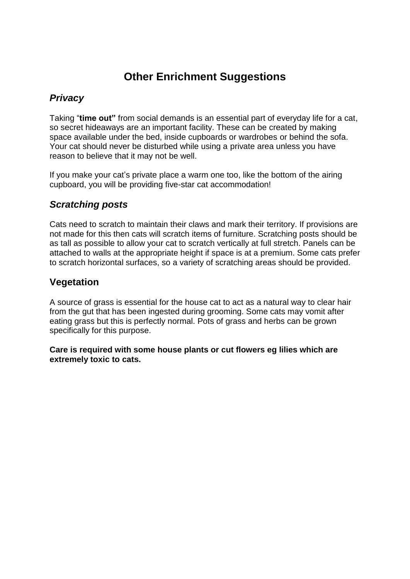# **Other Enrichment Suggestions**

### *Privacy*

Taking "**time out"** from social demands is an essential part of everyday life for a cat, so secret hideaways are an important facility. These can be created by making space available under the bed, inside cupboards or wardrobes or behind the sofa. Your cat should never be disturbed while using a private area unless you have reason to believe that it may not be well.

If you make your cat's private place a warm one too, like the bottom of the airing cupboard, you will be providing five-star cat accommodation!

#### *Scratching posts*

Cats need to scratch to maintain their claws and mark their territory. If provisions are not made for this then cats will scratch items of furniture. Scratching posts should be as tall as possible to allow your cat to scratch vertically at full stretch. Panels can be attached to walls at the appropriate height if space is at a premium. Some cats prefer to scratch horizontal surfaces, so a variety of scratching areas should be provided.

#### **Vegetation**

A source of grass is essential for the house cat to act as a natural way to clear hair from the gut that has been ingested during grooming. Some cats may vomit after eating grass but this is perfectly normal. Pots of grass and herbs can be grown specifically for this purpose.

**Care is required with some house plants or cut flowers eg lilies which are extremely toxic to cats.**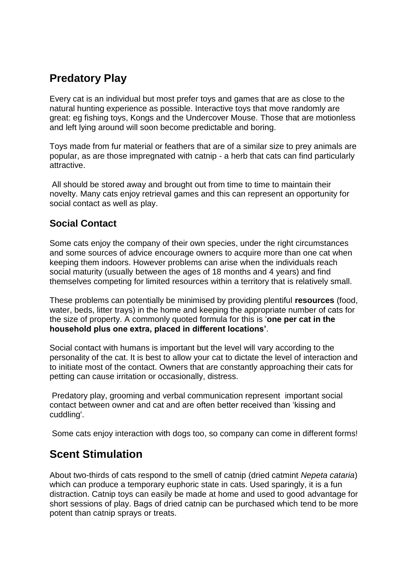## **Predatory Play**

Every cat is an individual but most prefer toys and games that are as close to the natural hunting experience as possible. Interactive toys that move randomly are great: eg fishing toys, Kongs and the Undercover Mouse. Those that are motionless and left lying around will soon become predictable and boring.

Toys made from fur material or feathers that are of a similar size to prey animals are popular, as are those impregnated with catnip - a herb that cats can find particularly attractive.

All should be stored away and brought out from time to time to maintain their novelty. Many cats enjoy retrieval games and this can represent an opportunity for social contact as well as play.

#### **Social Contact**

Some cats enjoy the company of their own species, under the right circumstances and some sources of advice encourage owners to acquire more than one cat when keeping them indoors. However problems can arise when the individuals reach social maturity (usually between the ages of 18 months and 4 years) and find themselves competing for limited resources within a territory that is relatively small.

These problems can potentially be minimised by providing plentiful **resources** (food, water, beds, litter trays) in the home and keeping the appropriate number of cats for the size of property. A commonly quoted formula for this is '**one per cat in the household plus one extra, placed in different locations'**.

Social contact with humans is important but the level will vary according to the personality of the cat. It is best to allow your cat to dictate the level of interaction and to initiate most of the contact. Owners that are constantly approaching their cats for petting can cause irritation or occasionally, distress.

Predatory play, grooming and verbal communication represent important social contact between owner and cat and are often better received than 'kissing and cuddling'.

Some cats enjoy interaction with dogs too, so company can come in different forms!

## **Scent Stimulation**

About two-thirds of cats respond to the smell of catnip (dried catmint *Nepeta cataria*) which can produce a temporary euphoric state in cats. Used sparingly, it is a fun distraction. Catnip toys can easily be made at home and used to good advantage for short sessions of play. Bags of dried catnip can be purchased which tend to be more potent than catnip sprays or treats.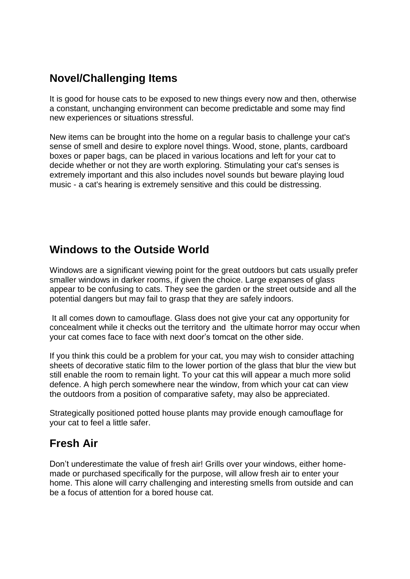## **Novel/Challenging Items**

It is good for house cats to be exposed to new things every now and then, otherwise a constant, unchanging environment can become predictable and some may find new experiences or situations stressful.

New items can be brought into the home on a regular basis to challenge your cat's sense of smell and desire to explore novel things. Wood, stone, plants, cardboard boxes or paper bags, can be placed in various locations and left for your cat to decide whether or not they are worth exploring. Stimulating your cat's senses is extremely important and this also includes novel sounds but beware playing loud music - a cat's hearing is extremely sensitive and this could be distressing.

### **Windows to the Outside World**

Windows are a significant viewing point for the great outdoors but cats usually prefer smaller windows in darker rooms, if given the choice. Large expanses of glass appear to be confusing to cats. They see the garden or the street outside and all the potential dangers but may fail to grasp that they are safely indoors.

It all comes down to camouflage. Glass does not give your cat any opportunity for concealment while it checks out the territory and the ultimate horror may occur when your cat comes face to face with next door's tomcat on the other side.

If you think this could be a problem for your cat, you may wish to consider attaching sheets of decorative static film to the lower portion of the glass that blur the view but still enable the room to remain light. To your cat this will appear a much more solid defence. A high perch somewhere near the window, from which your cat can view the outdoors from a position of comparative safety, may also be appreciated.

Strategically positioned potted house plants may provide enough camouflage for your cat to feel a little safer.

### **Fresh Air**

Don't underestimate the value of fresh air! Grills over your windows, either homemade or purchased specifically for the purpose, will allow fresh air to enter your home. This alone will carry challenging and interesting smells from outside and can be a focus of attention for a bored house cat.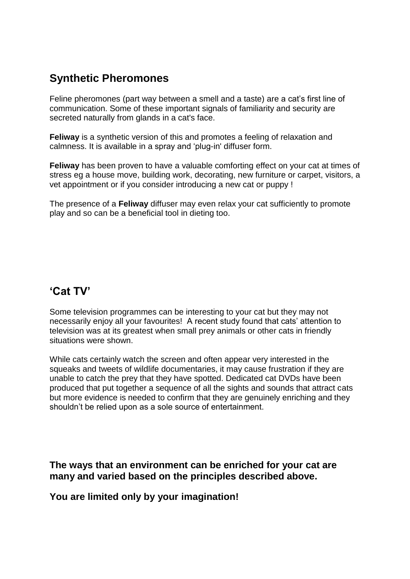## **Synthetic Pheromones**

Feline pheromones (part way between a smell and a taste) are a cat's first line of communication. Some of these important signals of familiarity and security are secreted naturally from glands in a cat's face.

**Feliway** is a synthetic version of this and promotes a feeling of relaxation and calmness. It is available in a spray and 'plug-in' diffuser form.

**Feliway** has been proven to have a valuable comforting effect on your cat at times of stress eg a house move, building work, decorating, new furniture or carpet, visitors, a vet appointment or if you consider introducing a new cat or puppy !

The presence of a **Feliway** diffuser may even relax your cat sufficiently to promote play and so can be a beneficial tool in dieting too.

### **'Cat TV'**

Some television programmes can be interesting to your cat but they may not necessarily enjoy all your favourites! A recent study found that cats' attention to television was at its greatest when small prey animals or other cats in friendly situations were shown.

While cats certainly watch the screen and often appear very interested in the squeaks and tweets of wildlife documentaries, it may cause frustration if they are unable to catch the prey that they have spotted. Dedicated cat DVDs have been produced that put together a sequence of all the sights and sounds that attract cats but more evidence is needed to confirm that they are genuinely enriching and they shouldn't be relied upon as a sole source of entertainment.

**The ways that an environment can be enriched for your cat are many and varied based on the principles described above.** 

**You are limited only by your imagination!**